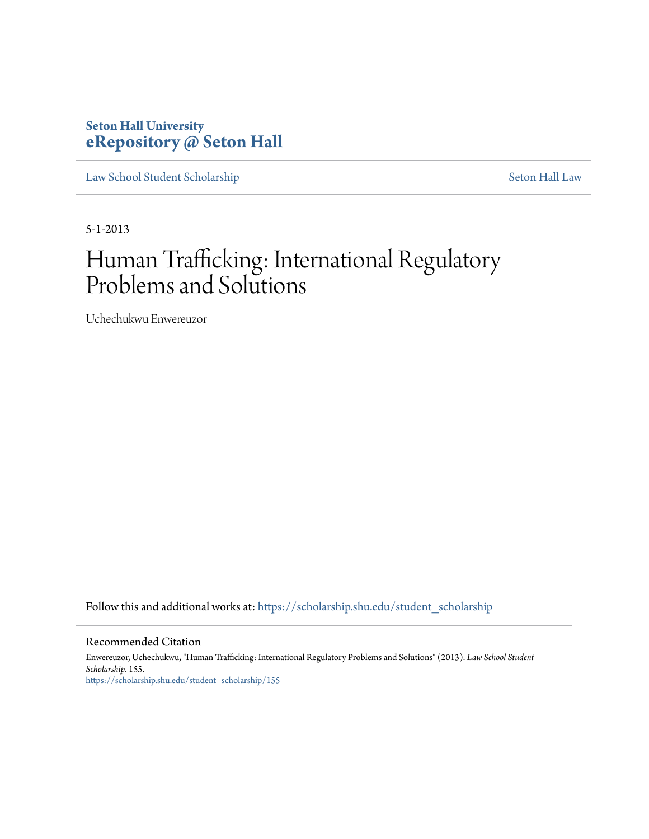# **Seton Hall University [eRepository @ Seton Hall](https://scholarship.shu.edu?utm_source=scholarship.shu.edu%2Fstudent_scholarship%2F155&utm_medium=PDF&utm_campaign=PDFCoverPages)**

[Law School Student Scholarship](https://scholarship.shu.edu/student_scholarship?utm_source=scholarship.shu.edu%2Fstudent_scholarship%2F155&utm_medium=PDF&utm_campaign=PDFCoverPages) [Seton Hall Law](https://scholarship.shu.edu/law?utm_source=scholarship.shu.edu%2Fstudent_scholarship%2F155&utm_medium=PDF&utm_campaign=PDFCoverPages)

5-1-2013

# Human Trafficking: International Regulatory Problems and Solutions

Uchechukwu Enwereuzor

Follow this and additional works at: [https://scholarship.shu.edu/student\\_scholarship](https://scholarship.shu.edu/student_scholarship?utm_source=scholarship.shu.edu%2Fstudent_scholarship%2F155&utm_medium=PDF&utm_campaign=PDFCoverPages)

#### Recommended Citation

Enwereuzor, Uchechukwu, "Human Trafficking: International Regulatory Problems and Solutions" (2013). *Law School Student Scholarship*. 155. [https://scholarship.shu.edu/student\\_scholarship/155](https://scholarship.shu.edu/student_scholarship/155?utm_source=scholarship.shu.edu%2Fstudent_scholarship%2F155&utm_medium=PDF&utm_campaign=PDFCoverPages)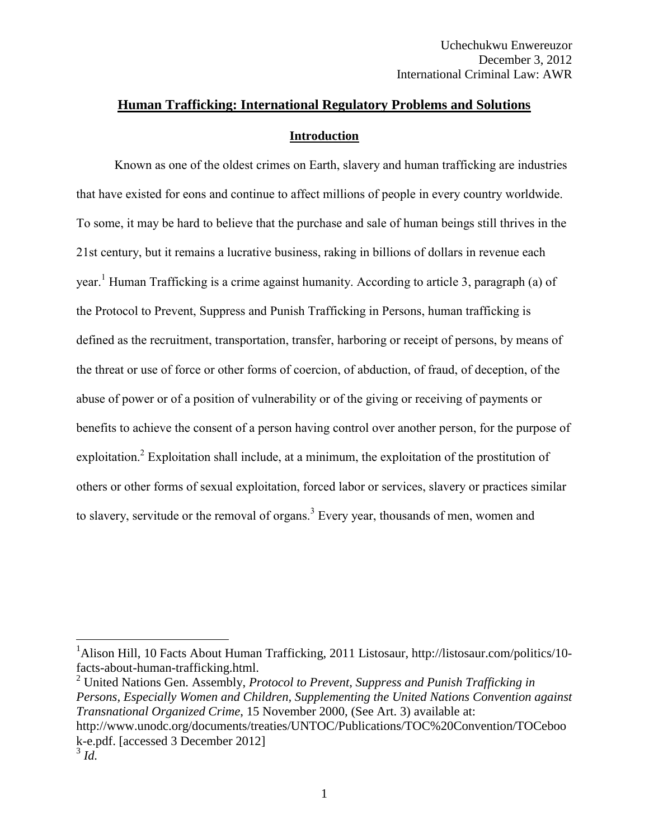# **Human Trafficking: International Regulatory Problems and Solutions Introduction**

Known as one of the oldest crimes on Earth, slavery and human trafficking are industries that have existed for eons and continue to affect millions of people in every country worldwide. To some, it may be hard to believe that the purchase and sale of human beings still thrives in the 21st century, but it remains a lucrative business, raking in billions of dollars in revenue each year.<sup>1</sup> Human Trafficking is a crime against humanity. According to article 3, paragraph (a) of the Protocol to Prevent, Suppress and Punish Trafficking in Persons, human trafficking is defined as the recruitment, transportation, transfer, harboring or receipt of persons, by means of the threat or use of force or other forms of coercion, of abduction, of fraud, of deception, of the abuse of power or of a position of vulnerability or of the giving or receiving of payments or benefits to achieve the consent of a person having control over another person, for the purpose of exploitation.<sup>2</sup> Exploitation shall include, at a minimum, the exploitation of the prostitution of others or other forms of sexual exploitation, forced labor or services, slavery or practices similar to slavery, servitude or the removal of organs.<sup>3</sup> Every year, thousands of men, women and

<sup>2</sup> United Nations Gen. Assembly, *Protocol to Prevent, Suppress and Punish Trafficking in Persons, Especially Women and Children, Supplementing the United Nations Convention against Transnational Organized Crime*, 15 November 2000, (See Art. 3) available at: http://www.unodc.org/documents/treaties/UNTOC/Publications/TOC%20Convention/TOCeboo k-e.pdf. [accessed 3 December 2012]

<sup>&</sup>lt;sup>1</sup>Alison Hill, 10 Facts About Human Trafficking, 2011 Listosaur, http://listosaur.com/politics/10facts-about-human-trafficking.html.

<sup>3</sup> *Id.*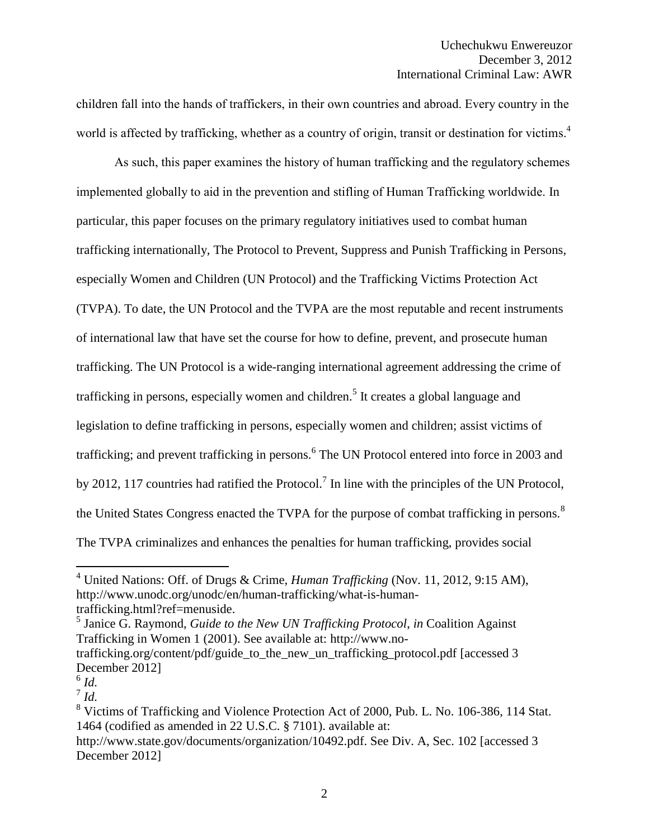children fall into the hands of traffickers, in their own countries and abroad. Every country in the world is affected by trafficking, whether as a country of origin, transit or destination for victims.<sup>4</sup>

As such, this paper examines the history of human trafficking and the regulatory schemes implemented globally to aid in the prevention and stifling of Human Trafficking worldwide. In particular, this paper focuses on the primary regulatory initiatives used to combat human trafficking internationally, The Protocol to Prevent, Suppress and Punish Trafficking in Persons, especially Women and Children (UN Protocol) and the Trafficking Victims Protection Act (TVPA). To date, the UN Protocol and the TVPA are the most reputable and recent instruments of international law that have set the course for how to define, prevent, and prosecute human trafficking. The UN Protocol is a wide-ranging international agreement addressing the crime of trafficking in persons, especially women and children.<sup>5</sup> It creates a global language and legislation to define trafficking in persons, especially women and children; assist victims of trafficking; and prevent trafficking in persons.<sup>6</sup> The UN Protocol entered into force in 2003 and by 2012, 117 countries had ratified the Protocol.<sup>7</sup> In line with the principles of the UN Protocol, the United States Congress enacted the TVPA for the purpose of combat trafficking in persons.<sup>8</sup> The TVPA criminalizes and enhances the penalties for human trafficking, provides social

<sup>4</sup> United Nations: Off. of Drugs & Crime, *Human Trafficking* (Nov. 11, 2012, 9:15 AM), http://www.unodc.org/unodc/en/human-trafficking/what-is-humantrafficking.html?ref=menuside.

<sup>5</sup> Janice G. Raymond, *Guide to the New UN Trafficking Protocol*, *in* Coalition Against Trafficking in Women 1 (2001). See available at: http://www.no-

trafficking.org/content/pdf/guide to the new un trafficking protocol.pdf [accessed 3 December 2012]

<sup>6</sup> *Id.*

<sup>7</sup> *Id.* 

<sup>&</sup>lt;sup>8</sup> Victims of Trafficking and Violence Protection Act of 2000, Pub. L. No. 106-386, 114 Stat. 1464 (codified as amended in 22 U.S.C. § 7101). available at:

http://www.state.gov/documents/organization/10492.pdf. See Div. A, Sec. 102 [accessed 3 December 2012]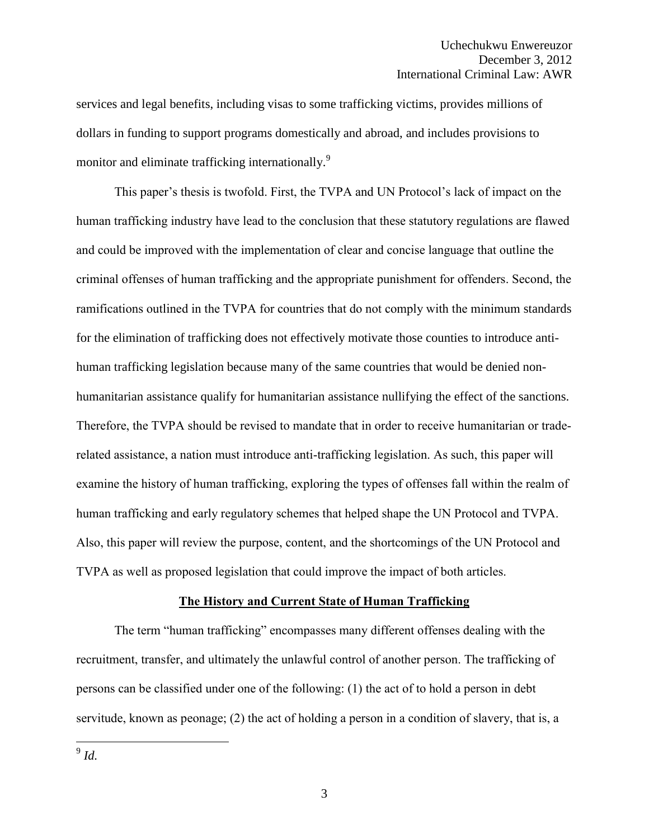services and legal benefits, including visas to some trafficking victims, provides millions of dollars in funding to support programs domestically and abroad, and includes provisions to monitor and eliminate trafficking internationally.<sup>9</sup>

This paper's thesis is twofold. First, the TVPA and UN Protocol's lack of impact on the human trafficking industry have lead to the conclusion that these statutory regulations are flawed and could be improved with the implementation of clear and concise language that outline the criminal offenses of human trafficking and the appropriate punishment for offenders. Second, the ramifications outlined in the TVPA for countries that do not comply with the minimum standards for the elimination of trafficking does not effectively motivate those counties to introduce antihuman trafficking legislation because many of the same countries that would be denied nonhumanitarian assistance qualify for humanitarian assistance nullifying the effect of the sanctions. Therefore, the TVPA should be revised to mandate that in order to receive humanitarian or traderelated assistance, a nation must introduce anti-trafficking legislation. As such, this paper will examine the history of human trafficking, exploring the types of offenses fall within the realm of human trafficking and early regulatory schemes that helped shape the UN Protocol and TVPA. Also, this paper will review the purpose, content, and the shortcomings of the UN Protocol and TVPA as well as proposed legislation that could improve the impact of both articles.

#### **The History and Current State of Human Trafficking**

The term "human trafficking" encompasses many different offenses dealing with the recruitment, transfer, and ultimately the unlawful control of another person. The trafficking of persons can be classified under one of the following: (1) the act of to hold a person in debt servitude, known as peonage; (2) the act of holding a person in a condition of slavery, that is, a

9 *Id.*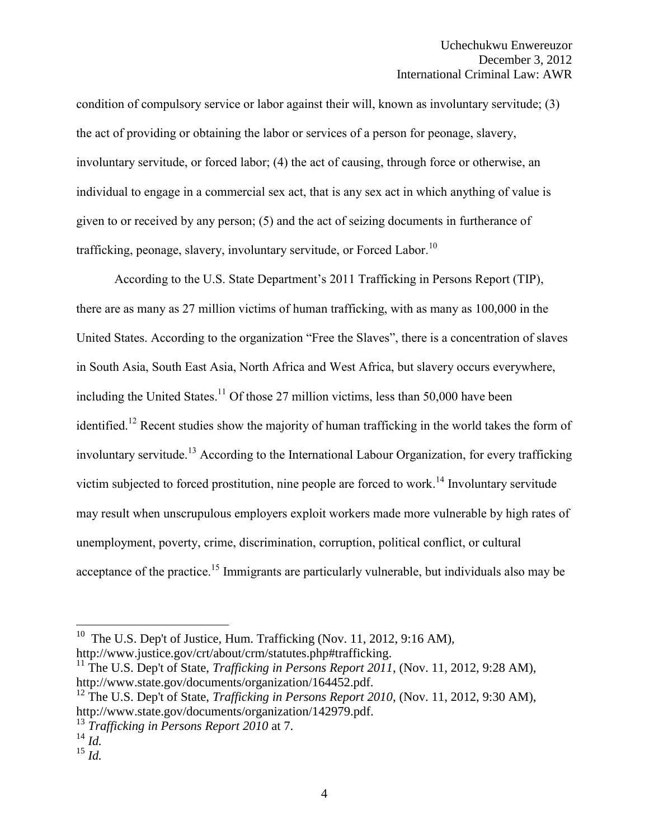condition of compulsory service or labor against their will, known as involuntary servitude; (3) the act of providing or obtaining the labor or services of a person for peonage, slavery, involuntary servitude, or forced labor; (4) the act of causing, through force or otherwise, an individual to engage in a commercial sex act, that is any sex act in which anything of value is given to or received by any person; (5) and the act of seizing documents in furtherance of trafficking, peonage, slavery, involuntary servitude, or Forced Labor.<sup>10</sup>

According to the U.S. State Department's 2011 Trafficking in Persons Report (TIP), there are as many as 27 million victims of human trafficking, with as many as 100,000 in the United States. According to the organization "Free the Slaves", there is a concentration of slaves in South Asia, South East Asia, North Africa and West Africa, but slavery occurs everywhere, including the United States.<sup>11</sup> Of those 27 million victims, less than 50,000 have been identified.<sup>12</sup> Recent studies show the majority of human trafficking in the world takes the form of involuntary servitude.<sup>13</sup> According to the International Labour Organization, for every trafficking victim subjected to forced prostitution, nine people are forced to work.<sup>14</sup> Involuntary servitude may result when unscrupulous employers exploit workers made more vulnerable by high rates of unemployment, poverty, crime, discrimination, corruption, political conflict, or cultural acceptance of the practice.<sup>15</sup> Immigrants are particularly vulnerable, but individuals also may be

<sup>&</sup>lt;sup>10</sup> The U.S. Dep't of Justice, Hum. Trafficking (Nov. 11, 2012, 9:16 AM), http://www.justice.gov/crt/about/crm/statutes.php#trafficking.

<sup>&</sup>lt;sup>11</sup> The U.S. Dep't of State, *Trafficking in Persons Report 2011*, (Nov. 11, 2012, 9:28 AM), http://www.state.gov/documents/organization/164452.pdf.

<sup>&</sup>lt;sup>12</sup> The U.S. Dep't of State, *Trafficking in Persons Report 2010*, (Nov. 11, 2012, 9:30 AM), http://www.state.gov/documents/organization/142979.pdf.

<sup>13</sup> *Trafficking in Persons Report 2010* at 7.

 $^{14}$  *Id.* 

<sup>15</sup> *Id.*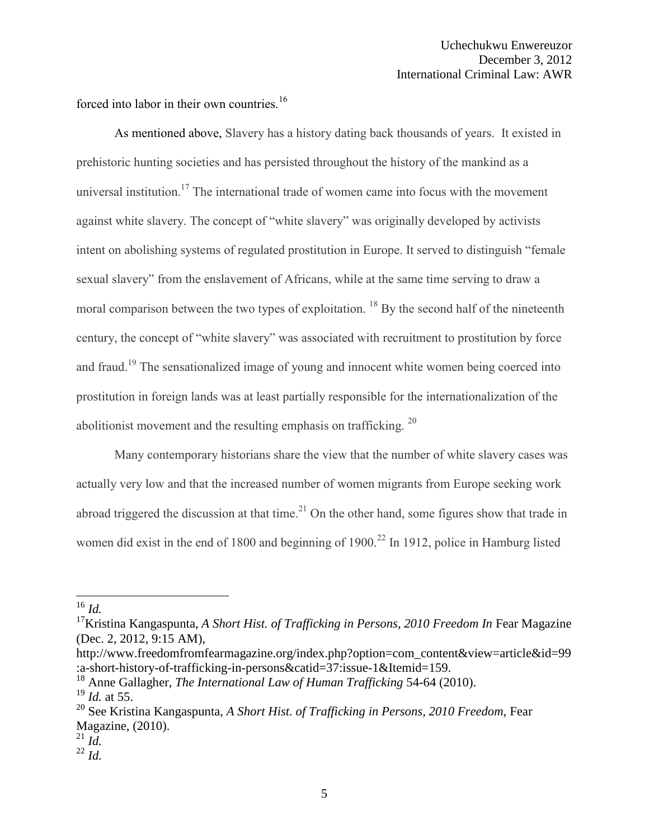forced into labor in their own countries.<sup>16</sup>

As mentioned above, Slavery has a history dating back thousands of years. It existed in prehistoric hunting societies and has persisted throughout the history of the mankind as a universal institution.<sup>17</sup> The international trade of women came into focus with the movement against white slavery. The concept of "white slavery" was originally developed by activists intent on abolishing systems of regulated prostitution in Europe. It served to distinguish "female sexual slavery" from the enslavement of Africans, while at the same time serving to draw a moral comparison between the two types of exploitation. <sup>18</sup> By the second half of the nineteenth century, the concept of "white slavery" was associated with recruitment to prostitution by force and fraud.<sup>19</sup> The sensationalized image of young and innocent white women being coerced into prostitution in foreign lands was at least partially responsible for the internationalization of the abolitionist movement and the resulting emphasis on trafficking.  $20$ 

Many contemporary historians share the view that the number of white slavery cases was actually very low and that the increased number of women migrants from Europe seeking work abroad triggered the discussion at that time.<sup>21</sup> On the other hand, some figures show that trade in women did exist in the end of 1800 and beginning of 1900.<sup>22</sup> In 1912, police in Hamburg listed

 $^{16}$  *Id.* 

<sup>&</sup>lt;sup>17</sup>Kristina Kangaspunta, *A Short Hist. of Trafficking in Persons, 2010 Freedom In* Fear Magazine (Dec. 2, 2012, 9:15 AM),

http://www.freedomfromfearmagazine.org/index.php?option=com\_content&view=article&id=99 :a-short-history-of-trafficking-in-persons&catid=37:issue-1&Itemid=159.

<sup>18</sup> Anne Gallagher, *The International Law of Human Trafficking* 54-64 (2010).

<sup>19</sup> *Id.* at 55.

<sup>&</sup>lt;sup>20</sup> See Kristina Kangaspunta, *A Short Hist. of Trafficking in Persons, 2010 Freedom*, Fear Magazine, (2010).

 $^{21}$  *Id.* 

 $^{22}$  *Id.*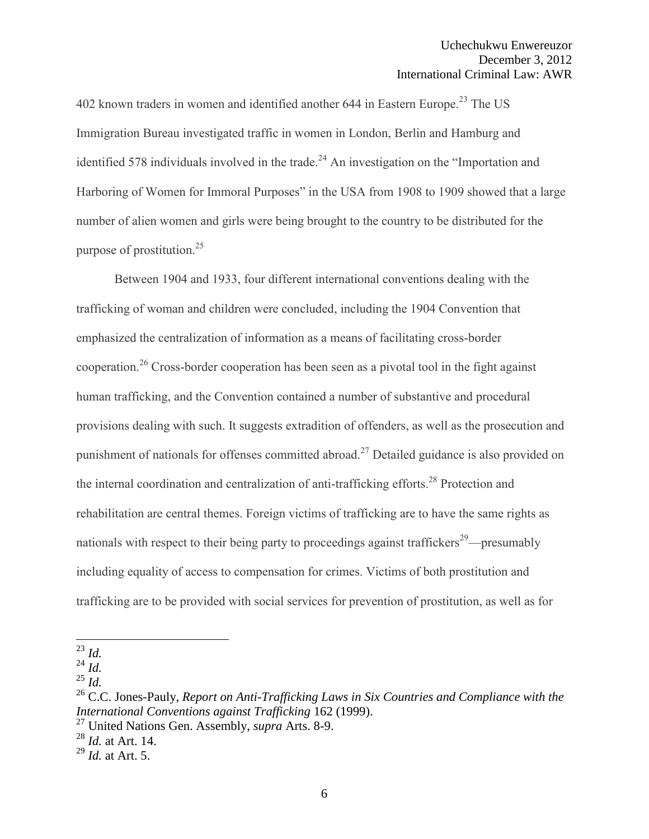402 known traders in women and identified another 644 in Eastern Europe.<sup>23</sup> The US Immigration Bureau investigated traffic in women in London, Berlin and Hamburg and identified 578 individuals involved in the trade.<sup>24</sup> An investigation on the "Importation and Harboring of Women for Immoral Purposes" in the USA from 1908 to 1909 showed that a large number of alien women and girls were being brought to the country to be distributed for the purpose of prostitution.<sup>25</sup>

Between 1904 and 1933, four different international conventions dealing with the trafficking of woman and children were concluded, including the 1904 Convention that emphasized the centralization of information as a means of facilitating cross-border cooperation.<sup>26</sup> Cross-border cooperation has been seen as a pivotal tool in the fight against human trafficking, and the Convention contained a number of substantive and procedural provisions dealing with such. It suggests extradition of offenders, as well as the prosecution and punishment of nationals for offenses committed abroad.<sup>27</sup> Detailed guidance is also provided on the internal coordination and centralization of anti-trafficking efforts.<sup>28</sup> Protection and rehabilitation are central themes. Foreign victims of trafficking are to have the same rights as nationals with respect to their being party to proceedings against traffickers<sup>29</sup>—presumably including equality of access to compensation for crimes. Victims of both prostitution and trafficking are to be provided with social services for prevention of prostitution, as well as for

<sup>23</sup> *Id.*

 $^{24}$  *Id.* 

<sup>25</sup> *Id.*

<sup>26</sup> C.C. Jones-Pauly, *Report on Anti-Trafficking Laws in Six Countries and Compliance with the International Conventions against Trafficking* 162 (1999).

<sup>27</sup> United Nations Gen. Assembly, *supra* Arts. 8-9.

<sup>28</sup> *Id.* at Art. 14.

<sup>29</sup> *Id.* at Art. 5.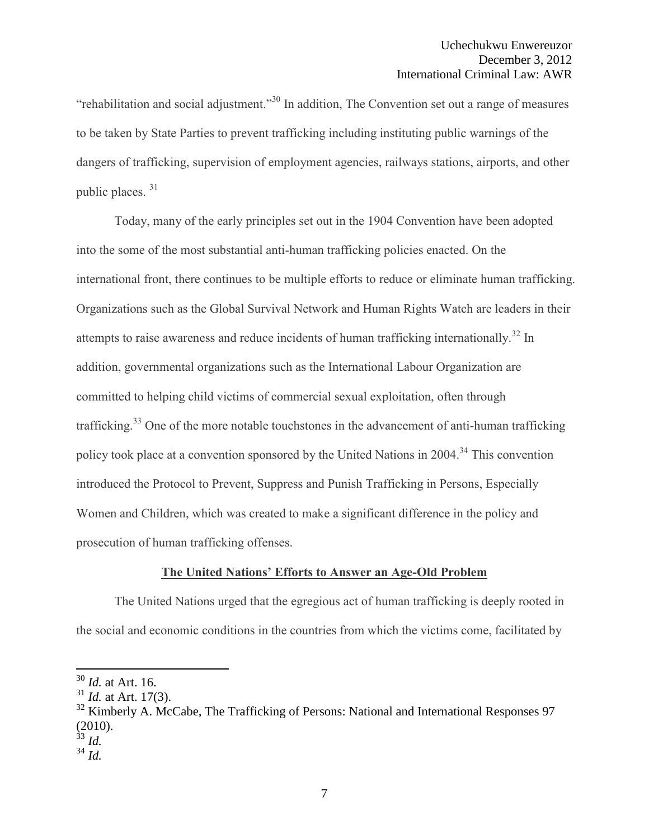"rehabilitation and social adjustment."<sup>30</sup> In addition, The Convention set out a range of measures to be taken by State Parties to prevent trafficking including instituting public warnings of the dangers of trafficking, supervision of employment agencies, railways stations, airports, and other public places. <sup>31</sup>

Today, many of the early principles set out in the 1904 Convention have been adopted into the some of the most substantial anti-human trafficking policies enacted. On the international front, there continues to be multiple efforts to reduce or eliminate human trafficking. Organizations such as the Global Survival Network and Human Rights Watch are leaders in their attempts to raise awareness and reduce incidents of human trafficking internationally.<sup>32</sup> In addition, governmental organizations such as the International Labour Organization are committed to helping child victims of commercial sexual exploitation, often through trafficking.<sup>33</sup> One of the more notable touchstones in the advancement of anti-human trafficking policy took place at a convention sponsored by the United Nations in 2004.<sup>34</sup> This convention introduced the Protocol to Prevent, Suppress and Punish Trafficking in Persons, Especially Women and Children, which was created to make a significant difference in the policy and prosecution of human trafficking offenses.

## **The United Nations' Efforts to Answer an Age-Old Problem**

The United Nations urged that the egregious act of human trafficking is deeply rooted in the social and economic conditions in the countries from which the victims come, facilitated by

<sup>30</sup> *Id.* at Art. 16.

<sup>31</sup> *Id.* at Art. 17(3).

 $32$  Kimberly A. McCabe, The Trafficking of Persons: National and International Responses 97 (2010).

<sup>33</sup> *Id.*

 $34$  *Id.*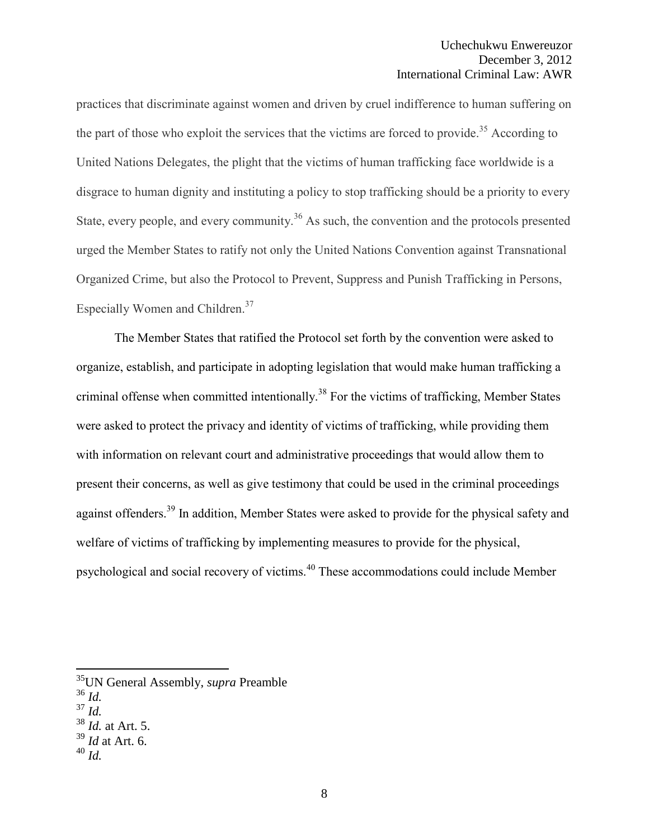practices that discriminate against women and driven by cruel indifference to human suffering on the part of those who exploit the services that the victims are forced to provide.<sup>35</sup> According to United Nations Delegates, the plight that the victims of human trafficking face worldwide is a disgrace to human dignity and instituting a policy to stop trafficking should be a priority to every State, every people, and every community.<sup>36</sup> As such, the convention and the protocols presented urged the Member States to ratify not only the United Nations Convention against Transnational Organized Crime, but also the Protocol to Prevent, Suppress and Punish Trafficking in Persons, Especially Women and Children.<sup>37</sup>

The Member States that ratified the Protocol set forth by the convention were asked to organize, establish, and participate in adopting legislation that would make human trafficking a criminal offense when committed intentionally.<sup>38</sup> For the victims of trafficking, Member States were asked to protect the privacy and identity of victims of trafficking, while providing them with information on relevant court and administrative proceedings that would allow them to present their concerns, as well as give testimony that could be used in the criminal proceedings against offenders.<sup>39</sup> In addition, Member States were asked to provide for the physical safety and welfare of victims of trafficking by implementing measures to provide for the physical, psychological and social recovery of victims.<sup>40</sup> These accommodations could include Member

<sup>35</sup>UN General Assembly, *supra* Preamble

<sup>36</sup> *Id.* 

<sup>37</sup> *Id.*

<sup>38</sup> *Id.* at Art. 5.

<sup>39</sup> *Id* at Art. 6.

<sup>40</sup> *Id.*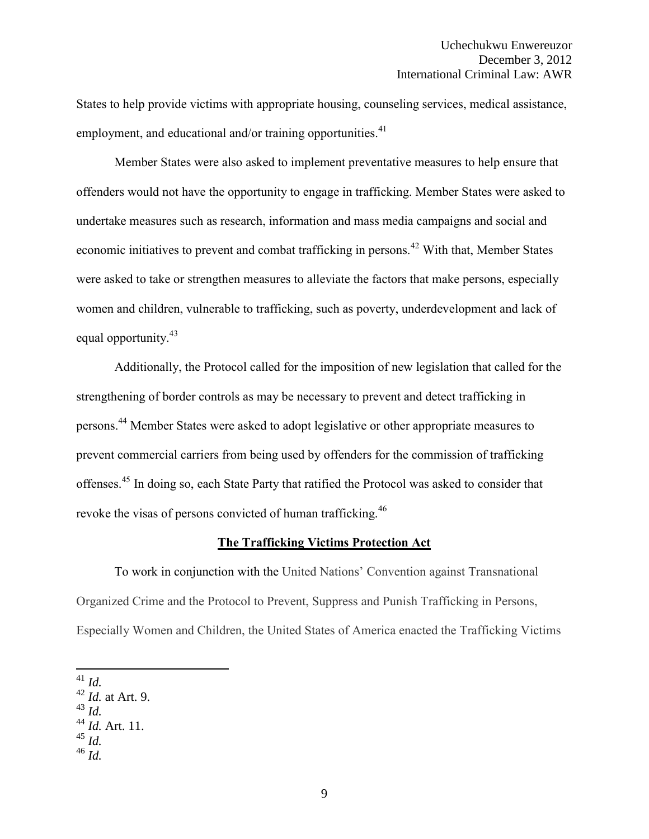States to help provide victims with appropriate housing, counseling services, medical assistance, employment, and educational and/or training opportunities. $41$ 

Member States were also asked to implement preventative measures to help ensure that offenders would not have the opportunity to engage in trafficking. Member States were asked to undertake measures such as research, information and mass media campaigns and social and economic initiatives to prevent and combat trafficking in persons.<sup>42</sup> With that, Member States were asked to take or strengthen measures to alleviate the factors that make persons, especially women and children, vulnerable to trafficking, such as poverty, underdevelopment and lack of equal opportunity.<sup>43</sup>

Additionally, the Protocol called for the imposition of new legislation that called for the strengthening of border controls as may be necessary to prevent and detect trafficking in persons.<sup>44</sup> Member States were asked to adopt legislative or other appropriate measures to prevent commercial carriers from being used by offenders for the commission of trafficking offenses.<sup>45</sup> In doing so, each State Party that ratified the Protocol was asked to consider that revoke the visas of persons convicted of human trafficking.<sup>46</sup>

#### **The Trafficking Victims Protection Act**

To work in conjunction with the United Nations' Convention against Transnational Organized Crime and the Protocol to Prevent, Suppress and Punish Trafficking in Persons, Especially Women and Children, the United States of America enacted the Trafficking Victims

<sup>43</sup> *Id.*

- $45 \overline{l}$ *d.*
- <sup>46</sup> *Id.*

 $\overline{a}$ <sup>41</sup> *Id.*

<sup>42</sup> *Id.* at Art. 9.

<sup>44</sup> *Id.* Art. 11.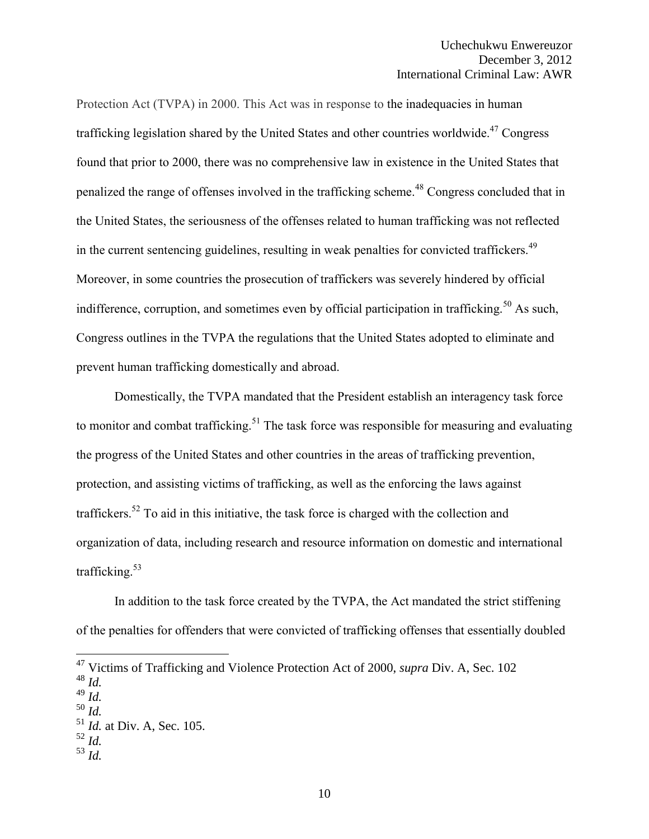Protection Act (TVPA) in 2000. This Act was in response to the inadequacies in human trafficking legislation shared by the United States and other countries worldwide.<sup>47</sup> Congress found that prior to 2000, there was no comprehensive law in existence in the United States that penalized the range of offenses involved in the trafficking scheme.<sup>48</sup> Congress concluded that in the United States, the seriousness of the offenses related to human trafficking was not reflected in the current sentencing guidelines, resulting in weak penalties for convicted traffickers.<sup>49</sup> Moreover, in some countries the prosecution of traffickers was severely hindered by official indifference, corruption, and sometimes even by official participation in trafficking.<sup>50</sup> As such, Congress outlines in the TVPA the regulations that the United States adopted to eliminate and prevent human trafficking domestically and abroad.

Domestically, the TVPA mandated that the President establish an interagency task force to monitor and combat trafficking.<sup>51</sup> The task force was responsible for measuring and evaluating the progress of the United States and other countries in the areas of trafficking prevention, protection, and assisting victims of trafficking, as well as the enforcing the laws against traffickers.<sup>52</sup> To aid in this initiative, the task force is charged with the collection and organization of data, including research and resource information on domestic and international trafficking. $53$ 

In addition to the task force created by the TVPA, the Act mandated the strict stiffening of the penalties for offenders that were convicted of trafficking offenses that essentially doubled

- $\frac{52}{1}$   $\frac{1}{4}$
- $^{53}$  *Id.*

<sup>47</sup> Victims of Trafficking and Violence Protection Act of 2000, *supra* Div. A, Sec. 102

<sup>48</sup> *Id.* 

<sup>49</sup> *Id.*

<sup>50</sup> *Id.*

<sup>51</sup> *Id.* at Div. A, Sec. 105.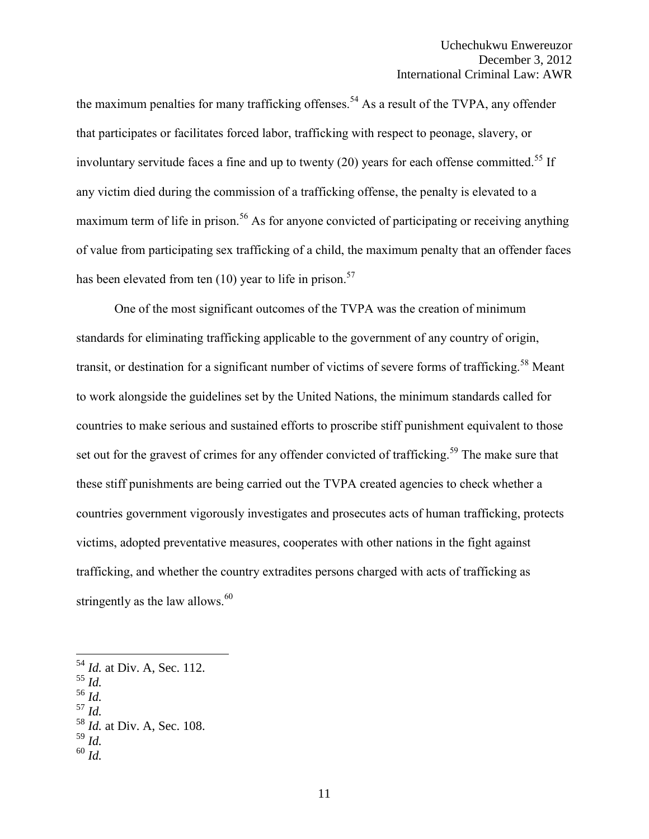the maximum penalties for many trafficking offenses.<sup>54</sup> As a result of the TVPA, any offender that participates or facilitates forced labor, trafficking with respect to peonage, slavery, or involuntary servitude faces a fine and up to twenty  $(20)$  years for each offense committed.<sup>55</sup> If any victim died during the commission of a trafficking offense, the penalty is elevated to a maximum term of life in prison.<sup>56</sup> As for anyone convicted of participating or receiving anything of value from participating sex trafficking of a child, the maximum penalty that an offender faces has been elevated from ten  $(10)$  year to life in prison.<sup>57</sup>

One of the most significant outcomes of the TVPA was the creation of minimum standards for eliminating trafficking applicable to the government of any country of origin, transit, or destination for a significant number of victims of severe forms of trafficking.<sup>58</sup> Meant to work alongside the guidelines set by the United Nations, the minimum standards called for countries to make serious and sustained efforts to proscribe stiff punishment equivalent to those set out for the gravest of crimes for any offender convicted of trafficking.<sup>59</sup> The make sure that these stiff punishments are being carried out the TVPA created agencies to check whether a countries government vigorously investigates and prosecutes acts of human trafficking, protects victims, adopted preventative measures, cooperates with other nations in the fight against trafficking, and whether the country extradites persons charged with acts of trafficking as stringently as the law allows. $60$ 

<sup>55</sup> *Id.*

- <sup>56</sup> *Id.*  <sup>57</sup> *Id.*
- <sup>58</sup> *Id.* at Div. A, Sec. 108.
- $^{59}$  *Id.*
- <sup>60</sup> *Id.*

<sup>54</sup> *Id.* at Div. A, Sec. 112.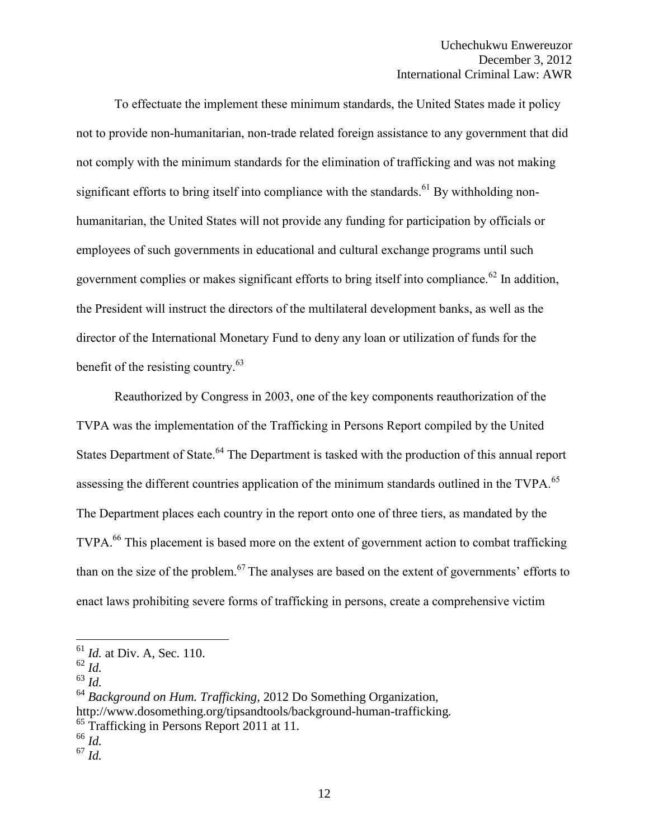To effectuate the implement these minimum standards, the United States made it policy not to provide non-humanitarian, non-trade related foreign assistance to any government that did not comply with the minimum standards for the elimination of trafficking and was not making significant efforts to bring itself into compliance with the standards.<sup>61</sup> By withholding nonhumanitarian, the United States will not provide any funding for participation by officials or employees of such governments in educational and cultural exchange programs until such government complies or makes significant efforts to bring itself into compliance.<sup>62</sup> In addition, the President will instruct the directors of the multilateral development banks, as well as the director of the International Monetary Fund to deny any loan or utilization of funds for the benefit of the resisting country.<sup>63</sup>

Reauthorized by Congress in 2003, one of the key components reauthorization of the TVPA was the implementation of the Trafficking in Persons Report compiled by the United States Department of State.<sup>64</sup> The Department is tasked with the production of this annual report assessing the different countries application of the minimum standards outlined in the TVPA.<sup>65</sup> The Department places each country in the report onto one of three tiers, as mandated by the TVPA.<sup>66</sup> This placement is based more on the extent of government action to combat trafficking than on the size of the problem.<sup>67</sup> The analyses are based on the extent of governments' efforts to enact laws prohibiting severe forms of trafficking in persons, create a comprehensive victim

 $\overline{a}$ 

<sup>64</sup> *Background on Hum. Trafficking,* 2012 Do Something Organization, http://www.dosomething.org/tipsandtools/background-human-trafficking*.*  $65$  Trafficking in Persons Report 2011 at 11.

<sup>67</sup> *Id.*

<sup>61</sup> *Id.* at Div. A, Sec. 110.

<sup>62</sup> *Id.*

<sup>63</sup> *Id.* 

<sup>66</sup> *Id.*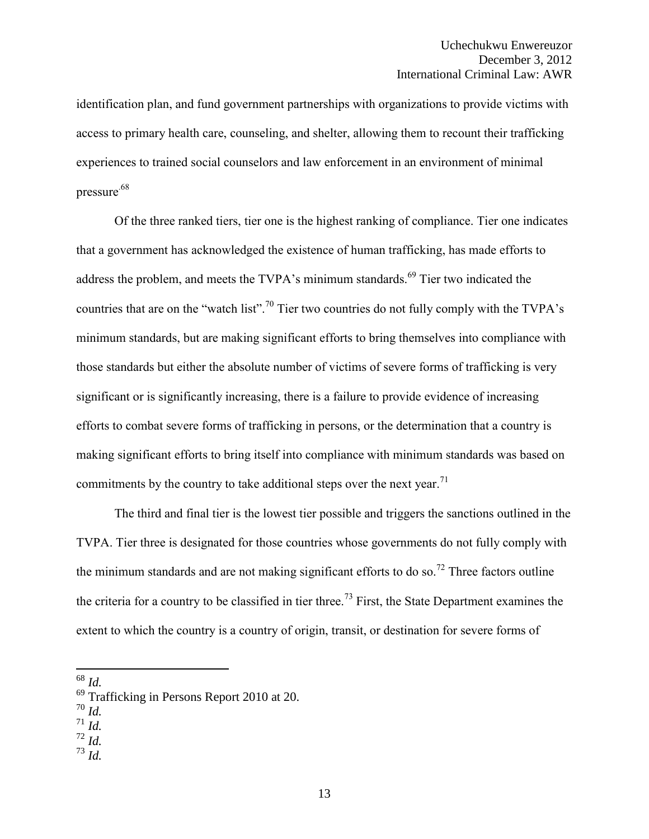identification plan, and fund government partnerships with organizations to provide victims with access to primary health care, counseling, and shelter, allowing them to recount their trafficking experiences to trained social counselors and law enforcement in an environment of minimal pressure.68

Of the three ranked tiers, tier one is the highest ranking of compliance. Tier one indicates that a government has acknowledged the existence of human trafficking, has made efforts to address the problem, and meets the TVPA's minimum standards.<sup>69</sup> Tier two indicated the countries that are on the "watch list".<sup>70</sup> Tier two countries do not fully comply with the TVPA's minimum standards, but are making significant efforts to bring themselves into compliance with those standards but either the absolute number of victims of severe forms of trafficking is very significant or is significantly increasing, there is a failure to provide evidence of increasing efforts to combat severe forms of trafficking in persons, or the determination that a country is making significant efforts to bring itself into compliance with minimum standards was based on commitments by the country to take additional steps over the next year.<sup>71</sup>

The third and final tier is the lowest tier possible and triggers the sanctions outlined in the TVPA. Tier three is designated for those countries whose governments do not fully comply with the minimum standards and are not making significant efforts to do so.<sup>72</sup> Three factors outline the criteria for a country to be classified in tier three.<sup>73</sup> First, the State Department examines the extent to which the country is a country of origin, transit, or destination for severe forms of

- $^{70}$  *Id.*
- <sup>71</sup> *Id.*

<sup>73</sup> *Id.*

 $\overline{a}$ <sup>68</sup> *Id.* 

<sup>69</sup> Trafficking in Persons Report 2010 at 20.

 $^{72}$   $\overline{Id}$ .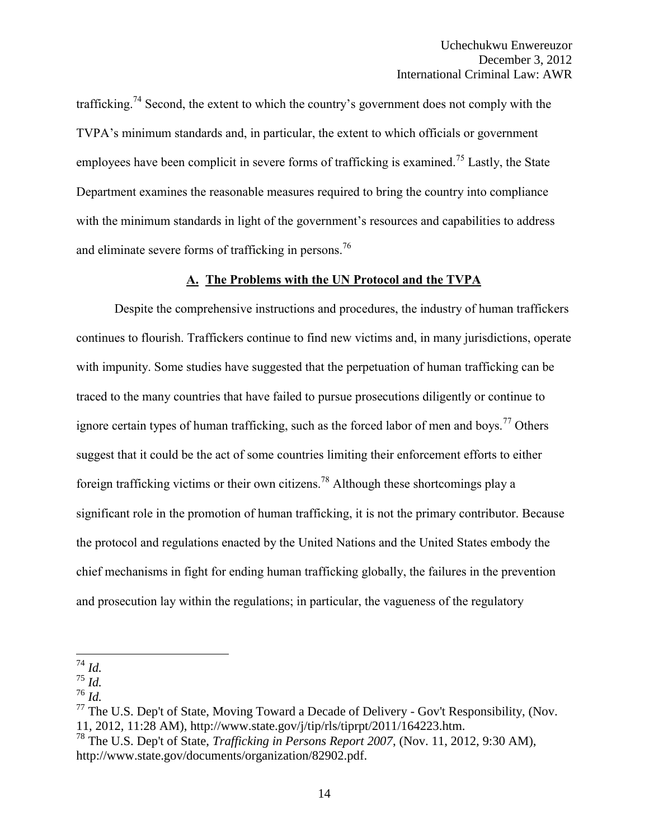trafficking.<sup>74</sup> Second, the extent to which the country's government does not comply with the TVPA's minimum standards and, in particular, the extent to which officials or government employees have been complicit in severe forms of trafficking is examined.<sup>75</sup> Lastly, the State Department examines the reasonable measures required to bring the country into compliance with the minimum standards in light of the government's resources and capabilities to address and eliminate severe forms of trafficking in persons.<sup>76</sup>

#### **A. The Problems with the UN Protocol and the TVPA**

Despite the comprehensive instructions and procedures, the industry of human traffickers continues to flourish. Traffickers continue to find new victims and, in many jurisdictions, operate with impunity. Some studies have suggested that the perpetuation of human trafficking can be traced to the many countries that have failed to pursue prosecutions diligently or continue to ignore certain types of human trafficking, such as the forced labor of men and boys.<sup>77</sup> Others suggest that it could be the act of some countries limiting their enforcement efforts to either foreign trafficking victims or their own citizens.<sup>78</sup> Although these shortcomings play a significant role in the promotion of human trafficking, it is not the primary contributor. Because the protocol and regulations enacted by the United Nations and the United States embody the chief mechanisms in fight for ending human trafficking globally, the failures in the prevention and prosecution lay within the regulations; in particular, the vagueness of the regulatory

 $\overline{a}$ <sup>74</sup> *Id.* 

<sup>75</sup> *Id.*

<sup>76</sup> *Id.* 

 $77$  The U.S. Dep't of State, Moving Toward a Decade of Delivery - Gov't Responsibility, (Nov. 11, 2012, 11:28 AM), http://www.state.gov/j/tip/rls/tiprpt/2011/164223.htm.

<sup>78</sup> The U.S. Dep't of State, *Trafficking in Persons Report 2007*, (Nov. 11, 2012, 9:30 AM), http://www.state.gov/documents/organization/82902.pdf.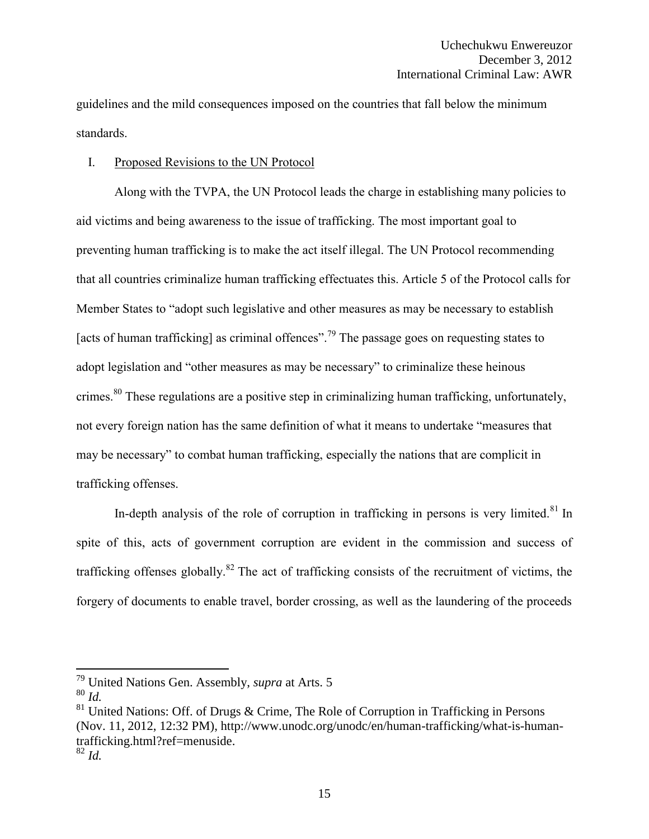guidelines and the mild consequences imposed on the countries that fall below the minimum standards.

## I. Proposed Revisions to the UN Protocol

Along with the TVPA, the UN Protocol leads the charge in establishing many policies to aid victims and being awareness to the issue of trafficking. The most important goal to preventing human trafficking is to make the act itself illegal. The UN Protocol recommending that all countries criminalize human trafficking effectuates this. Article 5 of the Protocol calls for Member States to "adopt such legislative and other measures as may be necessary to establish [acts of human trafficking] as criminal offences".<sup>79</sup> The passage goes on requesting states to adopt legislation and "other measures as may be necessary" to criminalize these heinous crimes.<sup>80</sup> These regulations are a positive step in criminalizing human trafficking, unfortunately, not every foreign nation has the same definition of what it means to undertake "measures that may be necessary" to combat human trafficking, especially the nations that are complicit in trafficking offenses.

In-depth analysis of the role of corruption in trafficking in persons is very limited.<sup>81</sup> In spite of this, acts of government corruption are evident in the commission and success of trafficking offenses globally.<sup>82</sup> The act of trafficking consists of the recruitment of victims, the forgery of documents to enable travel, border crossing, as well as the laundering of the proceeds

<sup>79</sup> United Nations Gen. Assembly, *supra* at Arts. 5

<sup>80</sup> *Id.*

 $81$  United Nations: Off. of Drugs & Crime, The Role of Corruption in Trafficking in Persons (Nov. 11, 2012, 12:32 PM), http://www.unodc.org/unodc/en/human-trafficking/what-is-humantrafficking.html?ref=menuside. <sup>82</sup> *Id.*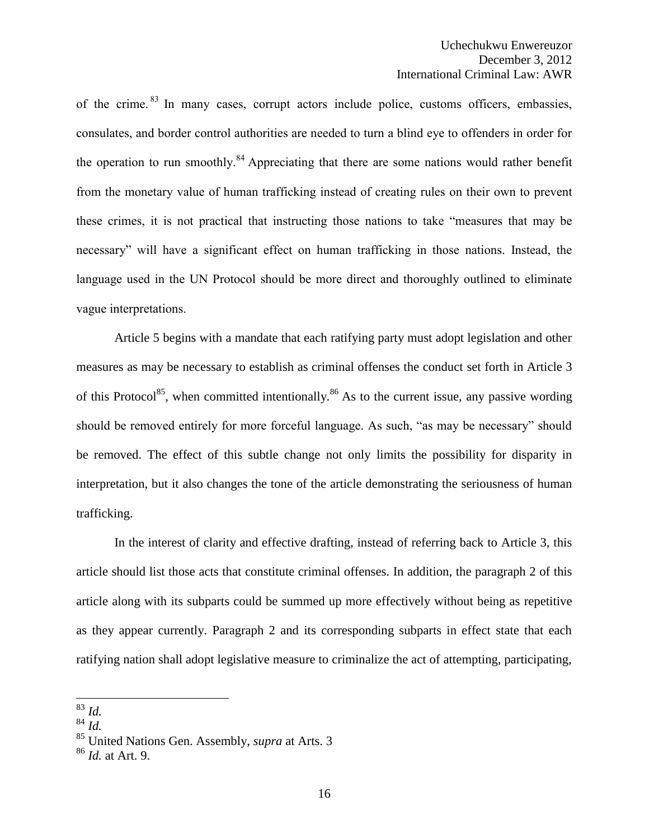of the crime. <sup>83</sup> In many cases, corrupt actors include police, customs officers, embassies, consulates, and border control authorities are needed to turn a blind eye to offenders in order for the operation to run smoothly.<sup>84</sup> Appreciating that there are some nations would rather benefit from the monetary value of human trafficking instead of creating rules on their own to prevent these crimes, it is not practical that instructing those nations to take "measures that may be necessary" will have a significant effect on human trafficking in those nations. Instead, the language used in the UN Protocol should be more direct and thoroughly outlined to eliminate vague interpretations.

Article 5 begins with a mandate that each ratifying party must adopt legislation and other measures as may be necessary to establish as criminal offenses the conduct set forth in Article 3 of this Protocol<sup>85</sup>, when committed intentionally.<sup>86</sup> As to the current issue, any passive wording should be removed entirely for more forceful language. As such, "as may be necessary" should be removed. The effect of this subtle change not only limits the possibility for disparity in interpretation, but it also changes the tone of the article demonstrating the seriousness of human trafficking.

In the interest of clarity and effective drafting, instead of referring back to Article 3, this article should list those acts that constitute criminal offenses. In addition, the paragraph 2 of this article along with its subparts could be summed up more effectively without being as repetitive as they appear currently. Paragraph 2 and its corresponding subparts in effect state that each ratifying nation shall adopt legislative measure to criminalize the act of attempting, participating,

 $\overline{a}$ <sup>83</sup> *Id.*

<sup>84</sup> *Id.*

<sup>85</sup> United Nations Gen. Assembly, *supra* at Arts. 3

<sup>86</sup> *Id.* at Art. 9.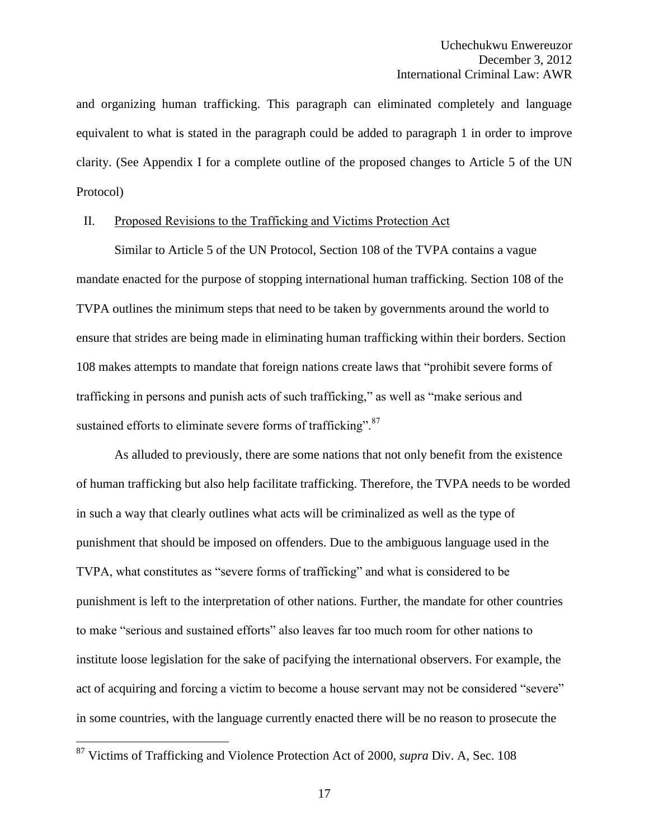and organizing human trafficking. This paragraph can eliminated completely and language equivalent to what is stated in the paragraph could be added to paragraph 1 in order to improve clarity. (See Appendix I for a complete outline of the proposed changes to Article 5 of the UN Protocol)

#### II. Proposed Revisions to the Trafficking and Victims Protection Act

Similar to Article 5 of the UN Protocol, Section 108 of the TVPA contains a vague mandate enacted for the purpose of stopping international human trafficking. Section 108 of the TVPA outlines the minimum steps that need to be taken by governments around the world to ensure that strides are being made in eliminating human trafficking within their borders. Section 108 makes attempts to mandate that foreign nations create laws that "prohibit severe forms of trafficking in persons and punish acts of such trafficking," as well as "make serious and sustained efforts to eliminate severe forms of trafficking".<sup>87</sup>

As alluded to previously, there are some nations that not only benefit from the existence of human trafficking but also help facilitate trafficking. Therefore, the TVPA needs to be worded in such a way that clearly outlines what acts will be criminalized as well as the type of punishment that should be imposed on offenders. Due to the ambiguous language used in the TVPA, what constitutes as "severe forms of trafficking" and what is considered to be punishment is left to the interpretation of other nations. Further, the mandate for other countries to make "serious and sustained efforts" also leaves far too much room for other nations to institute loose legislation for the sake of pacifying the international observers. For example, the act of acquiring and forcing a victim to become a house servant may not be considered "severe" in some countries, with the language currently enacted there will be no reason to prosecute the

<sup>87</sup> Victims of Trafficking and Violence Protection Act of 2000, *supra* Div. A, Sec. 108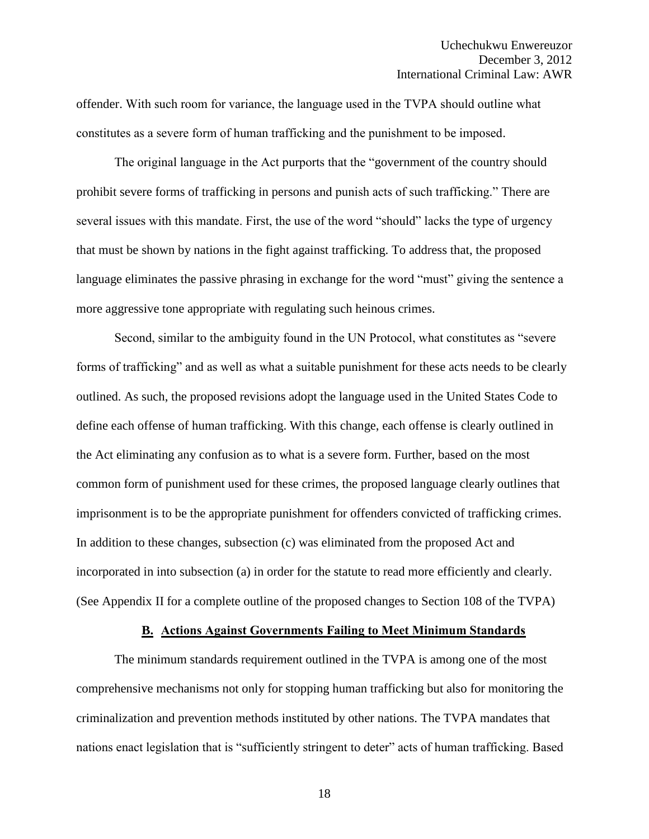offender. With such room for variance, the language used in the TVPA should outline what constitutes as a severe form of human trafficking and the punishment to be imposed.

The original language in the Act purports that the "government of the country should prohibit severe forms of trafficking in persons and punish acts of such trafficking." There are several issues with this mandate. First, the use of the word "should" lacks the type of urgency that must be shown by nations in the fight against trafficking. To address that, the proposed language eliminates the passive phrasing in exchange for the word "must" giving the sentence a more aggressive tone appropriate with regulating such heinous crimes.

Second, similar to the ambiguity found in the UN Protocol, what constitutes as "severe forms of trafficking" and as well as what a suitable punishment for these acts needs to be clearly outlined. As such, the proposed revisions adopt the language used in the United States Code to define each offense of human trafficking. With this change, each offense is clearly outlined in the Act eliminating any confusion as to what is a severe form. Further, based on the most common form of punishment used for these crimes, the proposed language clearly outlines that imprisonment is to be the appropriate punishment for offenders convicted of trafficking crimes. In addition to these changes, subsection (c) was eliminated from the proposed Act and incorporated in into subsection (a) in order for the statute to read more efficiently and clearly. (See Appendix II for a complete outline of the proposed changes to Section 108 of the TVPA)

#### **B. Actions Against Governments Failing to Meet Minimum Standards**

The minimum standards requirement outlined in the TVPA is among one of the most comprehensive mechanisms not only for stopping human trafficking but also for monitoring the criminalization and prevention methods instituted by other nations. The TVPA mandates that nations enact legislation that is "sufficiently stringent to deter" acts of human trafficking. Based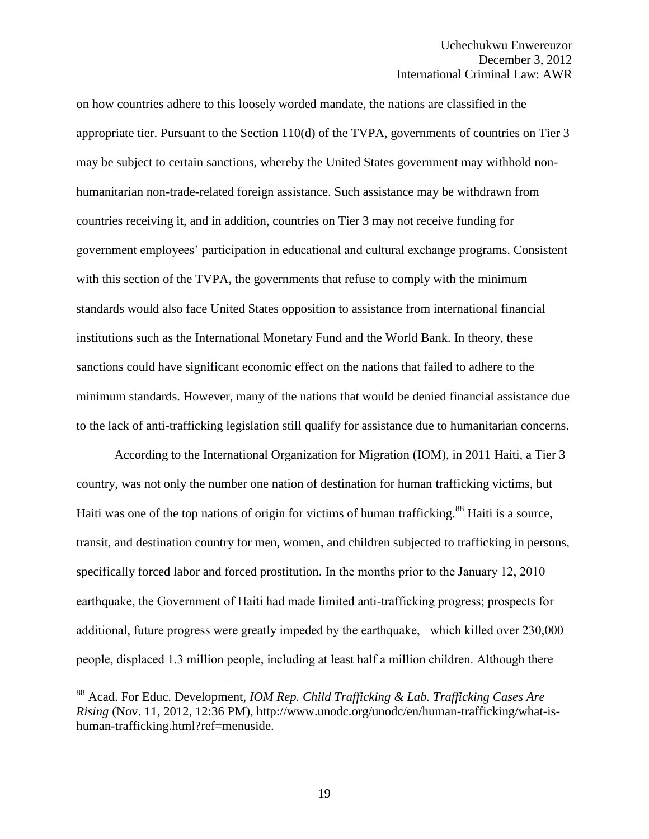on how countries adhere to this loosely worded mandate, the nations are classified in the appropriate tier. Pursuant to the Section 110(d) of the TVPA, governments of countries on Tier 3 may be subject to certain sanctions, whereby the United States government may withhold nonhumanitarian non-trade-related foreign assistance. Such assistance may be withdrawn from countries receiving it, and in addition, countries on Tier 3 may not receive funding for government employees' participation in educational and cultural exchange programs. Consistent with this section of the TVPA, the governments that refuse to comply with the minimum standards would also face United States opposition to assistance from international financial institutions such as the International Monetary Fund and the World Bank. In theory, these sanctions could have significant economic effect on the nations that failed to adhere to the minimum standards. However, many of the nations that would be denied financial assistance due to the lack of anti-trafficking legislation still qualify for assistance due to humanitarian concerns.

According to the International Organization for Migration (IOM), in 2011 Haiti, a Tier 3 country, was not only the number one nation of destination for human trafficking victims, but Haiti was one of the top nations of origin for victims of human trafficking.<sup>88</sup> Haiti is a source, transit, and destination country for men, women, and children subjected to trafficking in persons, specifically forced labor and forced prostitution. In the months prior to the January 12, 2010 earthquake, the Government of Haiti had made limited anti-trafficking progress; prospects for additional, future progress were greatly impeded by the earthquake, which killed over 230,000 people, displaced 1.3 million people, including at least half a million children. Although there

 $\overline{a}$ 

<sup>88</sup> Acad. For Educ. Development, *IOM Rep. Child Trafficking & Lab. Trafficking Cases Are Rising* (Nov. 11, 2012, 12:36 PM), http://www.unodc.org/unodc/en/human-trafficking/what-ishuman-trafficking.html?ref=menuside.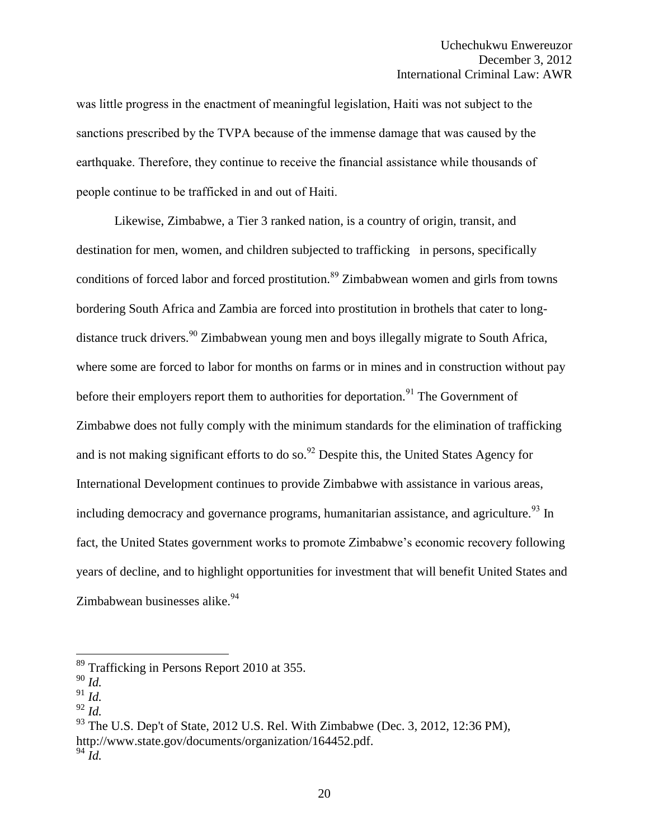was little progress in the enactment of meaningful legislation, Haiti was not subject to the sanctions prescribed by the TVPA because of the immense damage that was caused by the earthquake. Therefore, they continue to receive the financial assistance while thousands of people continue to be trafficked in and out of Haiti.

Likewise, Zimbabwe, a Tier 3 ranked nation, is a country of origin, transit, and destination for men, women, and children subjected to trafficking in persons, specifically conditions of forced labor and forced prostitution.<sup>89</sup> Zimbabwean women and girls from towns bordering South Africa and Zambia are forced into prostitution in brothels that cater to longdistance truck drivers.<sup>90</sup> Zimbabwean young men and boys illegally migrate to South Africa, where some are forced to labor for months on farms or in mines and in construction without pay before their employers report them to authorities for deportation.<sup>91</sup> The Government of Zimbabwe does not fully comply with the minimum standards for the elimination of trafficking and is not making significant efforts to do so.<sup>92</sup> Despite this, the United States Agency for International Development continues to provide Zimbabwe with assistance in various areas, including democracy and governance programs, humanitarian assistance, and agriculture.<sup>93</sup> In fact, the United States government works to promote Zimbabwe's economic recovery following years of decline, and to highlight opportunities for investment that will benefit United States and Zimbabwean businesses alike. $94$ 

<sup>&</sup>lt;sup>89</sup> Trafficking in Persons Report 2010 at 355.

<sup>90</sup> *Id.*

 $^{91}$  *Id.* 

<sup>92</sup> *Id.* 

 $93$  The U.S. Dep't of State, 2012 U.S. Rel. With Zimbabwe (Dec. 3, 2012, 12:36 PM), http://www.state.gov/documents/organization/164452.pdf.  $94 \overline{Id}$ .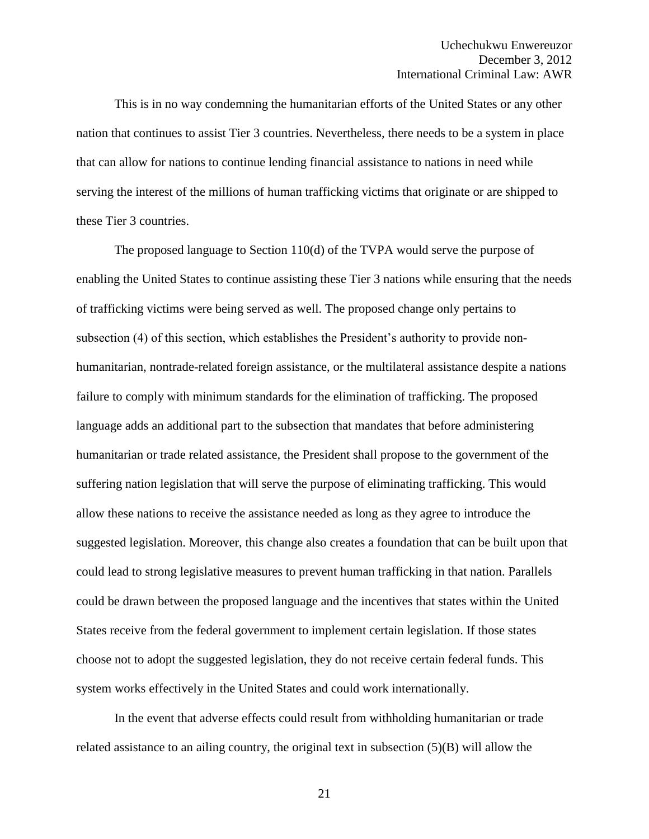This is in no way condemning the humanitarian efforts of the United States or any other nation that continues to assist Tier 3 countries. Nevertheless, there needs to be a system in place that can allow for nations to continue lending financial assistance to nations in need while serving the interest of the millions of human trafficking victims that originate or are shipped to these Tier 3 countries.

The proposed language to Section 110(d) of the TVPA would serve the purpose of enabling the United States to continue assisting these Tier 3 nations while ensuring that the needs of trafficking victims were being served as well. The proposed change only pertains to subsection (4) of this section, which establishes the President's authority to provide nonhumanitarian, nontrade-related foreign assistance, or the multilateral assistance despite a nations failure to comply with minimum standards for the elimination of trafficking. The proposed language adds an additional part to the subsection that mandates that before administering humanitarian or trade related assistance, the President shall propose to the government of the suffering nation legislation that will serve the purpose of eliminating trafficking. This would allow these nations to receive the assistance needed as long as they agree to introduce the suggested legislation. Moreover, this change also creates a foundation that can be built upon that could lead to strong legislative measures to prevent human trafficking in that nation. Parallels could be drawn between the proposed language and the incentives that states within the United States receive from the federal government to implement certain legislation. If those states choose not to adopt the suggested legislation, they do not receive certain federal funds. This system works effectively in the United States and could work internationally.

In the event that adverse effects could result from withholding humanitarian or trade related assistance to an ailing country, the original text in subsection (5)(B) will allow the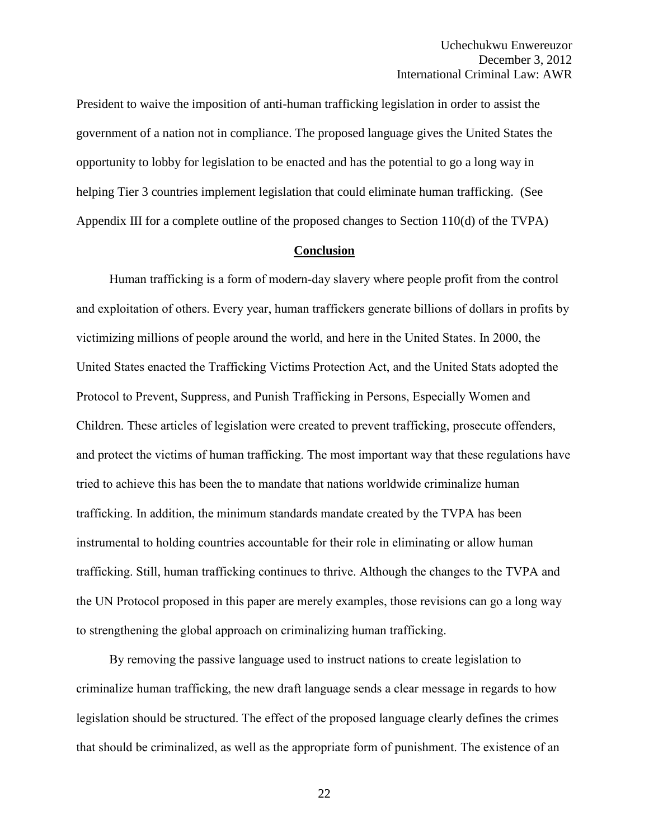President to waive the imposition of anti-human trafficking legislation in order to assist the government of a nation not in compliance. The proposed language gives the United States the opportunity to lobby for legislation to be enacted and has the potential to go a long way in helping Tier 3 countries implement legislation that could eliminate human trafficking. (See Appendix III for a complete outline of the proposed changes to Section 110(d) of the TVPA)

#### **Conclusion**

Human trafficking is a form of modern-day slavery where people profit from the control and exploitation of others. Every year, human traffickers generate billions of dollars in profits by victimizing millions of people around the world, and here in the United States. In 2000, the United States enacted the Trafficking Victims Protection Act, and the United Stats adopted the Protocol to Prevent, Suppress, and Punish Trafficking in Persons, Especially Women and Children. These articles of legislation were created to prevent trafficking, prosecute offenders, and protect the victims of human trafficking. The most important way that these regulations have tried to achieve this has been the to mandate that nations worldwide criminalize human trafficking. In addition, the minimum standards mandate created by the TVPA has been instrumental to holding countries accountable for their role in eliminating or allow human trafficking. Still, human trafficking continues to thrive. Although the changes to the TVPA and the UN Protocol proposed in this paper are merely examples, those revisions can go a long way to strengthening the global approach on criminalizing human trafficking.

By removing the passive language used to instruct nations to create legislation to criminalize human trafficking, the new draft language sends a clear message in regards to how legislation should be structured. The effect of the proposed language clearly defines the crimes that should be criminalized, as well as the appropriate form of punishment. The existence of an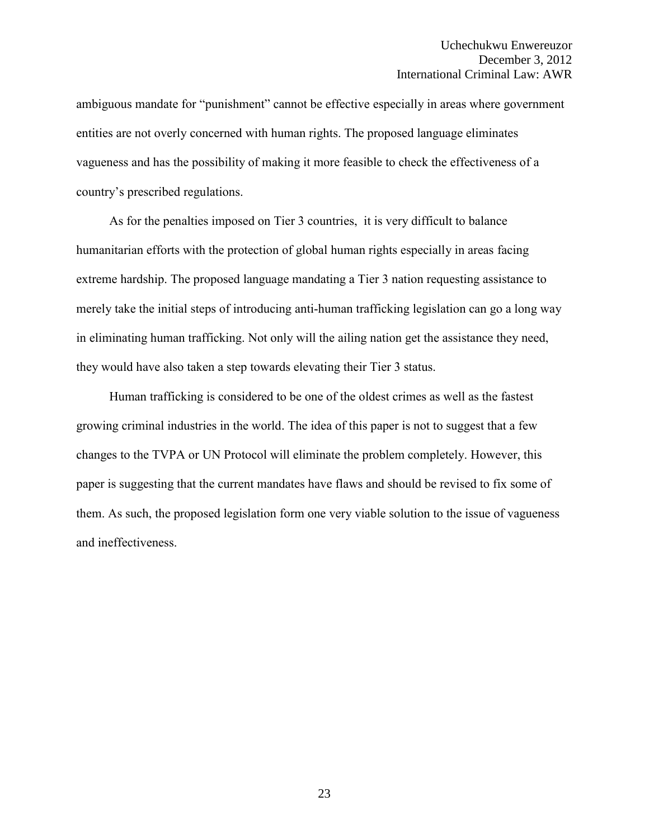ambiguous mandate for "punishment" cannot be effective especially in areas where government entities are not overly concerned with human rights. The proposed language eliminates vagueness and has the possibility of making it more feasible to check the effectiveness of a country's prescribed regulations.

As for the penalties imposed on Tier 3 countries, it is very difficult to balance humanitarian efforts with the protection of global human rights especially in areas facing extreme hardship. The proposed language mandating a Tier 3 nation requesting assistance to merely take the initial steps of introducing anti-human trafficking legislation can go a long way in eliminating human trafficking. Not only will the ailing nation get the assistance they need, they would have also taken a step towards elevating their Tier 3 status.

Human trafficking is considered to be one of the oldest crimes as well as the fastest growing criminal industries in the world. The idea of this paper is not to suggest that a few changes to the TVPA or UN Protocol will eliminate the problem completely. However, this paper is suggesting that the current mandates have flaws and should be revised to fix some of them. As such, the proposed legislation form one very viable solution to the issue of vagueness and ineffectiveness.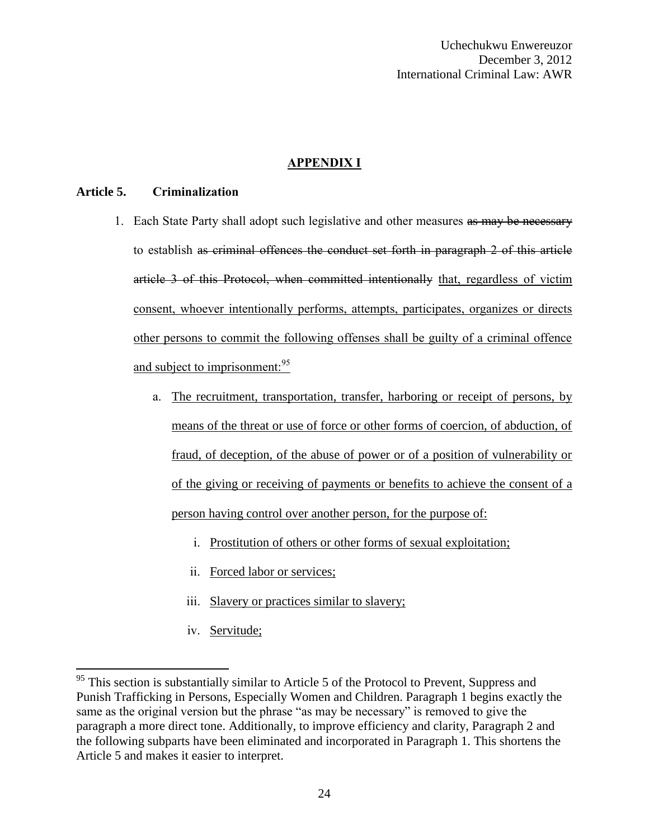# **APPENDIX I**

#### **Article 5. Criminalization**

- 1. Each State Party shall adopt such legislative and other measures as may be necessary to establish as criminal offences the conduct set forth in paragraph 2 of this article article 3 of this Protocol, when committed intentionally that, regardless of victim consent, whoever intentionally performs, attempts, participates, organizes or directs other persons to commit the following offenses shall be guilty of a criminal offence and subject to imprisonment:<sup>95</sup>
	- a. The recruitment, transportation, transfer, harboring or receipt of persons, by means of the threat or use of force or other forms of coercion, of abduction, of fraud, of deception, of the abuse of power or of a position of vulnerability or of the giving or receiving of payments or benefits to achieve the consent of a person having control over another person, for the purpose of:
		- i. Prostitution of others or other forms of sexual exploitation;
		- ii. Forced labor or services;
		- iii. Slavery or practices similar to slavery;
		- iv. Servitude;

 $95$  This section is substantially similar to Article 5 of the Protocol to Prevent, Suppress and Punish Trafficking in Persons, Especially Women and Children. Paragraph 1 begins exactly the same as the original version but the phrase "as may be necessary" is removed to give the paragraph a more direct tone. Additionally, to improve efficiency and clarity, Paragraph 2 and the following subparts have been eliminated and incorporated in Paragraph 1. This shortens the Article 5 and makes it easier to interpret.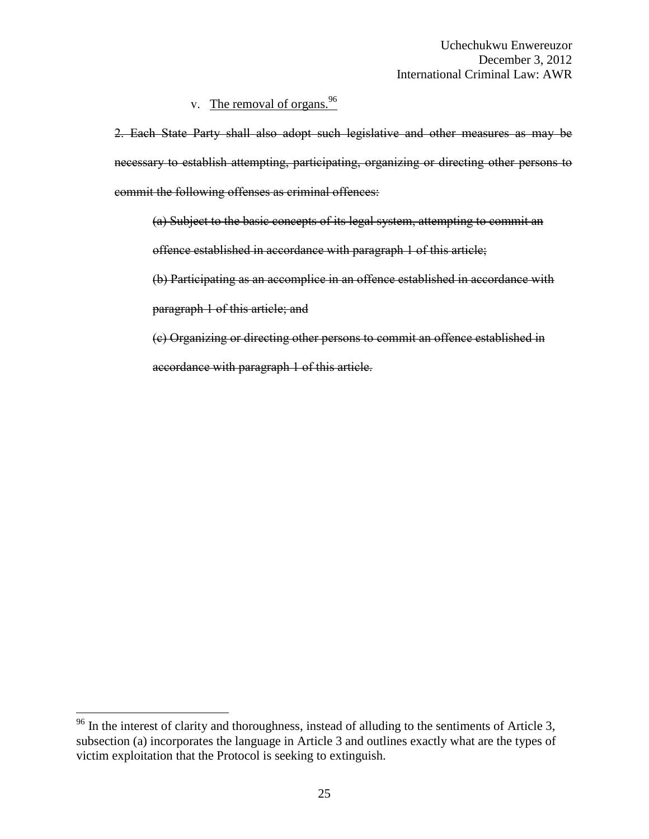# v. The removal of organs.  $96$

2. Each State Party shall also adopt such legislative and other measures as may be necessary to establish attempting, participating, organizing or directing other persons to commit the following offenses as criminal offences:

(a) Subject to the basic concepts of its legal system, attempting to commit an offence established in accordance with paragraph 1 of this article;

(b) Participating as an accomplice in an offence established in accordance with

paragraph 1 of this article; and

 $\overline{a}$ 

(c) Organizing or directing other persons to commit an offence established in accordance with paragraph 1 of this article.

 $96$  In the interest of clarity and thoroughness, instead of alluding to the sentiments of Article 3, subsection (a) incorporates the language in Article 3 and outlines exactly what are the types of victim exploitation that the Protocol is seeking to extinguish.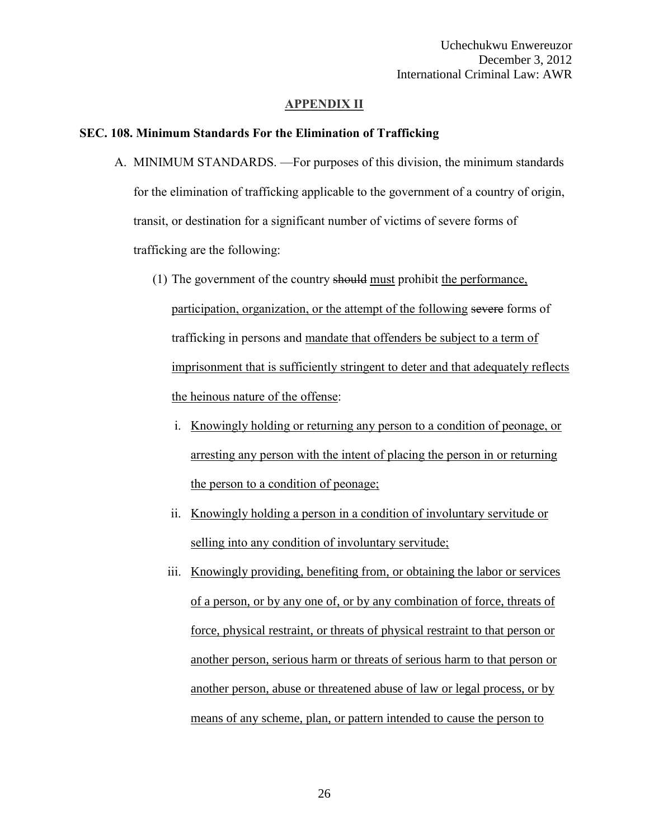#### **APPENDIX II**

#### **SEC. 108. Minimum Standards For the Elimination of Trafficking**

- A. MINIMUM STANDARDS. —For purposes of this division, the minimum standards for the elimination of trafficking applicable to the government of a country of origin, transit, or destination for a significant number of victims of severe forms of trafficking are the following:
	- (1) The government of the country should must prohibit the performance, participation, organization, or the attempt of the following severe forms of trafficking in persons and mandate that offenders be subject to a term of imprisonment that is sufficiently stringent to deter and that adequately reflects the heinous nature of the offense:
		- i. Knowingly holding or returning any person to a condition of peonage, or arresting any person with the intent of placing the person in or returning the person to a condition of peonage;
		- ii. Knowingly holding a person in a condition of involuntary servitude or selling into any condition of involuntary servitude;
		- iii. Knowingly providing, benefiting from, or obtaining the labor or services of a person, or by any one of, or by any combination of force, threats of force, physical restraint, or threats of physical restraint to that person or another person, serious harm or threats of serious harm to that person or another person, abuse or threatened abuse of law or legal process, or by means of any scheme, plan, or pattern intended to cause the person to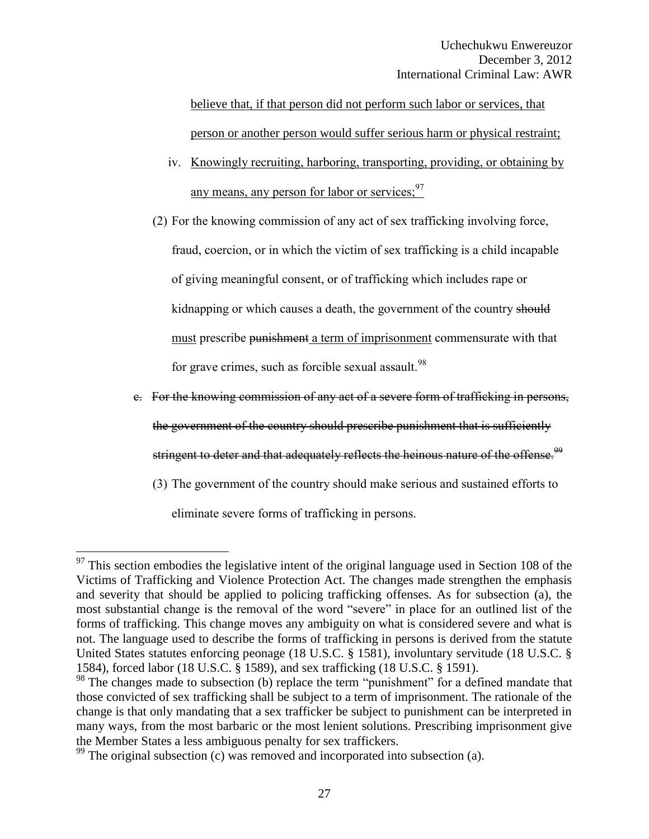believe that, if that person did not perform such labor or services, that person or another person would suffer serious harm or physical restraint;

- iv. Knowingly recruiting, harboring, transporting, providing, or obtaining by any means, any person for labor or services:  $97$
- (2) For the knowing commission of any act of sex trafficking involving force,

fraud, coercion, or in which the victim of sex trafficking is a child incapable of giving meaningful consent, or of trafficking which includes rape or kidnapping or which causes a death, the government of the country should must prescribe punishment a term of imprisonment commensurate with that for grave crimes, such as forcible sexual assault. $98$ 

- c. For the knowing commission of any act of a severe form of trafficking in persons, the government of the country should prescribe punishment that is sufficiently stringent to deter and that adequately reflects the heinous nature of the offense.<sup>99</sup>
	- (3) The government of the country should make serious and sustained efforts to

eliminate severe forms of trafficking in persons.

 $97$  This section embodies the legislative intent of the original language used in Section 108 of the Victims of Trafficking and Violence Protection Act. The changes made strengthen the emphasis and severity that should be applied to policing trafficking offenses. As for subsection (a), the most substantial change is the removal of the word "severe" in place for an outlined list of the forms of trafficking. This change moves any ambiguity on what is considered severe and what is not. The language used to describe the forms of trafficking in persons is derived from the statute United States statutes enforcing peonage (18 U.S.C. § 1581), involuntary servitude (18 U.S.C. § 1584), forced labor (18 U.S.C. § 1589), and sex trafficking (18 U.S.C. § 1591).

<sup>&</sup>lt;sup>98</sup> The changes made to subsection (b) replace the term "punishment" for a defined mandate that those convicted of sex trafficking shall be subject to a term of imprisonment. The rationale of the change is that only mandating that a sex trafficker be subject to punishment can be interpreted in many ways, from the most barbaric or the most lenient solutions. Prescribing imprisonment give the Member States a less ambiguous penalty for sex traffickers.

 $99$  The original subsection (c) was removed and incorporated into subsection (a).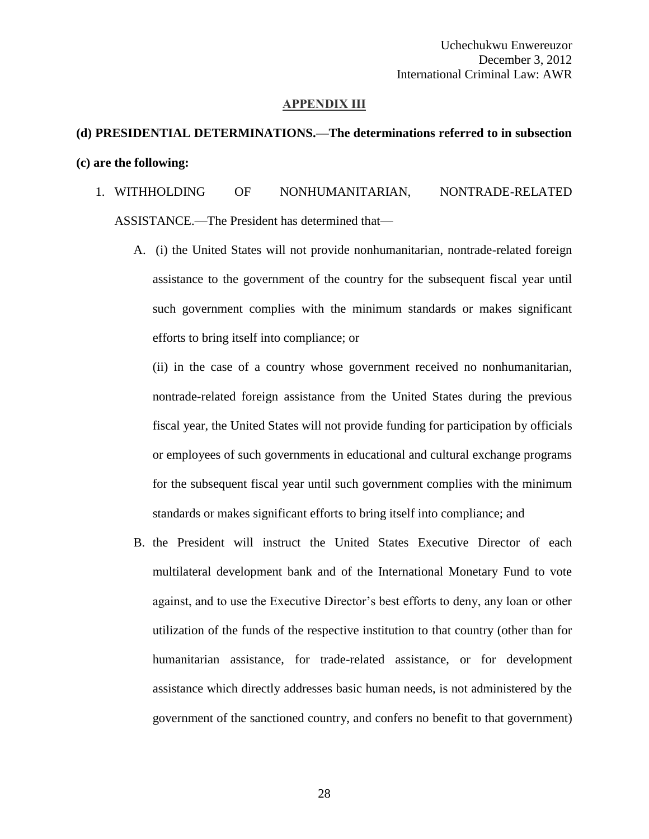#### **APPENDIX III**

# **(d) PRESIDENTIAL DETERMINATIONS.—The determinations referred to in subsection (c) are the following:**

- 1. WITHHOLDING OF NONHUMANITARIAN, NONTRADE-RELATED ASSISTANCE.—The President has determined that—
	- A. (i) the United States will not provide nonhumanitarian, nontrade-related foreign assistance to the government of the country for the subsequent fiscal year until such government complies with the minimum standards or makes significant efforts to bring itself into compliance; or

(ii) in the case of a country whose government received no nonhumanitarian, nontrade-related foreign assistance from the United States during the previous fiscal year, the United States will not provide funding for participation by officials or employees of such governments in educational and cultural exchange programs for the subsequent fiscal year until such government complies with the minimum standards or makes significant efforts to bring itself into compliance; and

B. the President will instruct the United States Executive Director of each multilateral development bank and of the International Monetary Fund to vote against, and to use the Executive Director's best efforts to deny, any loan or other utilization of the funds of the respective institution to that country (other than for humanitarian assistance, for trade-related assistance, or for development assistance which directly addresses basic human needs, is not administered by the government of the sanctioned country, and confers no benefit to that government)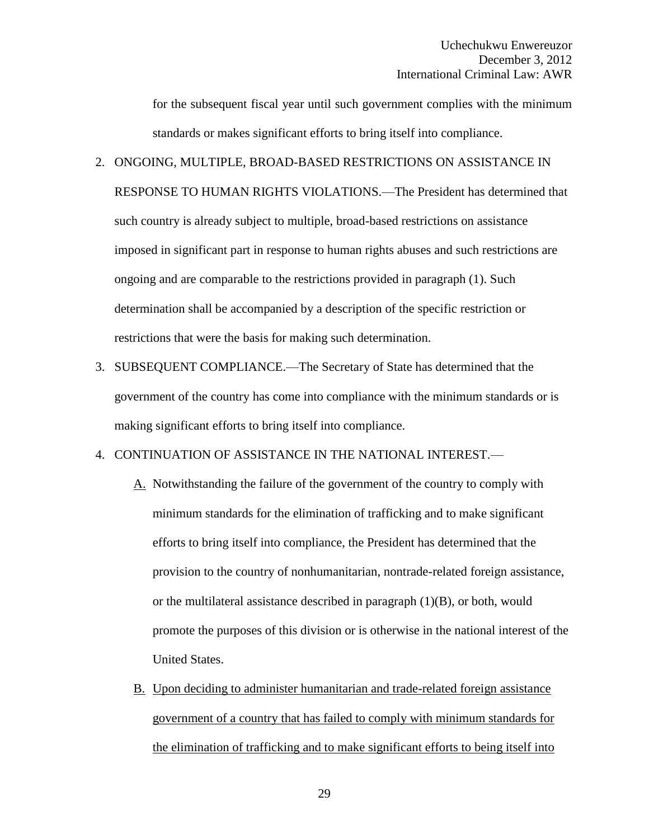for the subsequent fiscal year until such government complies with the minimum standards or makes significant efforts to bring itself into compliance.

- 2. ONGOING, MULTIPLE, BROAD-BASED RESTRICTIONS ON ASSISTANCE IN RESPONSE TO HUMAN RIGHTS VIOLATIONS.—The President has determined that such country is already subject to multiple, broad-based restrictions on assistance imposed in significant part in response to human rights abuses and such restrictions are ongoing and are comparable to the restrictions provided in paragraph (1). Such determination shall be accompanied by a description of the specific restriction or restrictions that were the basis for making such determination.
- 3. SUBSEQUENT COMPLIANCE.—The Secretary of State has determined that the government of the country has come into compliance with the minimum standards or is making significant efforts to bring itself into compliance.

## 4. CONTINUATION OF ASSISTANCE IN THE NATIONAL INTEREST.—

- A. Notwithstanding the failure of the government of the country to comply with minimum standards for the elimination of trafficking and to make significant efforts to bring itself into compliance, the President has determined that the provision to the country of nonhumanitarian, nontrade-related foreign assistance, or the multilateral assistance described in paragraph (1)(B), or both, would promote the purposes of this division or is otherwise in the national interest of the United States.
- B. Upon deciding to administer humanitarian and trade-related foreign assistance government of a country that has failed to comply with minimum standards for the elimination of trafficking and to make significant efforts to being itself into